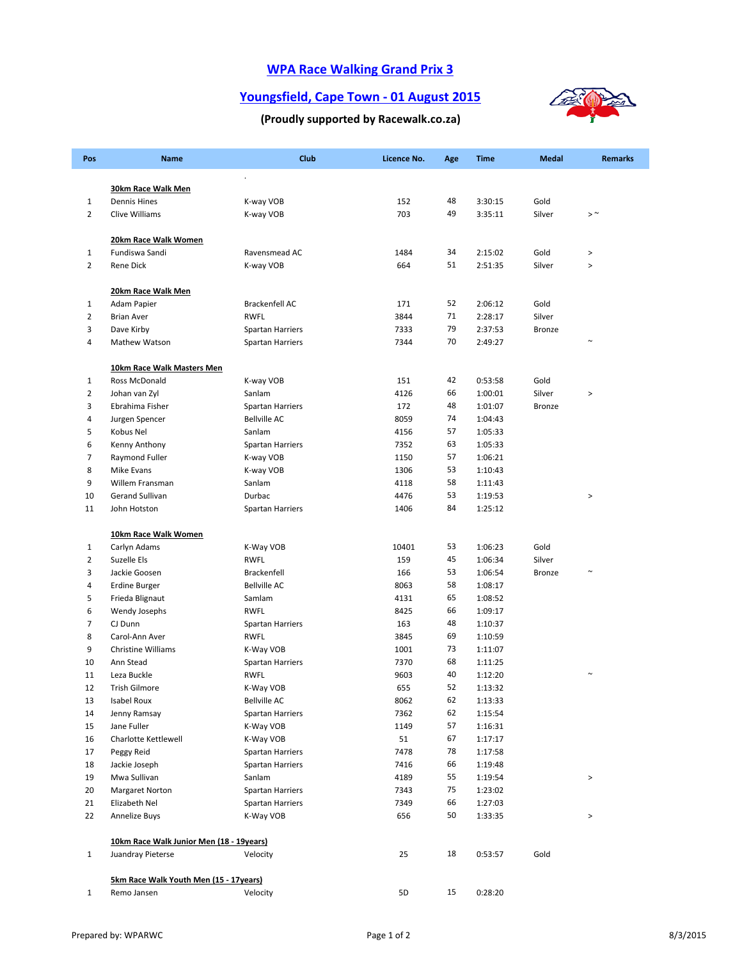# **WPA Race Walking Grand Prix 3**

### **Youngsfield, Cape Town ‐ 01 August 2015**



#### **(Proudly supported by Racewalk.co.za)**

| Pos                            | Name                                     | Club                    | Licence No. | Age | <b>Time</b>        | <b>Medal</b>   | <b>Remarks</b> |
|--------------------------------|------------------------------------------|-------------------------|-------------|-----|--------------------|----------------|----------------|
|                                |                                          | $\cdot$                 |             |     |                    |                |                |
|                                | 30km Race Walk Men                       |                         |             | 48  |                    |                |                |
| $\mathbf{1}$<br>$\overline{2}$ | <b>Dennis Hines</b><br>Clive Williams    | K-way VOB               | 152<br>703  | 49  | 3:30:15<br>3:35:11 | Gold<br>Silver | $>$ $\sim$     |
|                                |                                          | K-way VOB               |             |     |                    |                |                |
|                                | 20km Race Walk Women                     |                         |             |     |                    |                |                |
| $\mathbf{1}$                   | Fundiswa Sandi                           | Ravensmead AC           | 1484        | 34  | 2:15:02            | Gold           | $\,>$          |
| $\overline{2}$                 | <b>Rene Dick</b>                         | K-way VOB               | 664         | 51  | 2:51:35            | Silver         | $\, > \,$      |
|                                | 20km Race Walk Men                       |                         |             |     |                    |                |                |
| $\mathbf{1}$                   | Adam Papier                              | Brackenfell AC          | 171         | 52  | 2:06:12            | Gold           |                |
| $\overline{2}$                 | <b>Brian Aver</b>                        | <b>RWFL</b>             | 3844        | 71  | 2:28:17            | Silver         |                |
| 3                              | Dave Kirby                               | <b>Spartan Harriers</b> | 7333        | 79  | 2:37:53            | Bronze         |                |
| 4                              | Mathew Watson                            | <b>Spartan Harriers</b> | 7344        | 70  | 2:49:27            |                | $\sim$         |
|                                | 10km Race Walk Masters Men               |                         |             |     |                    |                |                |
| $\mathbf{1}$                   | Ross McDonald                            | K-way VOB               | 151         | 42  | 0:53:58            | Gold           |                |
| $\overline{2}$                 | Johan van Zyl                            | Sanlam                  | 4126        | 66  | 1:00:01            | Silver         | $\, >$         |
| 3                              | Ebrahima Fisher                          | Spartan Harriers        | 172         | 48  | 1:01:07            | Bronze         |                |
| 4                              | Jurgen Spencer                           | <b>Bellville AC</b>     | 8059        | 74  | 1:04:43            |                |                |
| 5                              | Kobus Nel                                | Sanlam                  | 4156        | 57  | 1:05:33            |                |                |
| 6                              | Kenny Anthony                            | <b>Spartan Harriers</b> | 7352        | 63  | 1:05:33            |                |                |
| $\overline{7}$                 | Raymond Fuller                           | K-way VOB               | 1150        | 57  | 1:06:21            |                |                |
| 8                              | <b>Mike Evans</b>                        | K-way VOB               | 1306        | 53  | 1:10:43            |                |                |
| 9                              | Willem Fransman                          | Sanlam                  | 4118        | 58  | 1:11:43            |                |                |
| 10                             | <b>Gerand Sullivan</b>                   | Durbac                  | 4476        | 53  | 1:19:53            |                | $\, >$         |
| 11                             | John Hotston                             | Spartan Harriers        | 1406        | 84  | 1:25:12            |                |                |
|                                | 10km Race Walk Women                     |                         |             |     |                    |                |                |
| $\mathbf{1}$                   | Carlyn Adams                             | K-Way VOB               | 10401       | 53  | 1:06:23            | Gold           |                |
| $\overline{2}$                 | Suzelle Els                              | <b>RWFL</b>             | 159         | 45  | 1:06:34            | Silver         |                |
| 3                              | Jackie Goosen                            | <b>Brackenfell</b>      | 166         | 53  | 1:06:54            | <b>Bronze</b>  | $\sim$         |
| 4                              | <b>Erdine Burger</b>                     | <b>Bellville AC</b>     | 8063        | 58  | 1:08:17            |                |                |
| 5                              | Frieda Blignaut                          | Samlam                  | 4131        | 65  | 1:08:52            |                |                |
| 6                              | Wendy Josephs                            | <b>RWFL</b>             | 8425        | 66  | 1:09:17            |                |                |
| $\overline{7}$                 | CJ Dunn                                  | Spartan Harriers        | 163         | 48  | 1:10:37            |                |                |
| 8                              | Carol-Ann Aver                           | <b>RWFL</b>             | 3845        | 69  | 1:10:59            |                |                |
| 9                              | Christine Williams                       | K-Way VOB               | 1001        | 73  | 1:11:07            |                |                |
| 10                             | Ann Stead                                | <b>Spartan Harriers</b> | 7370        | 68  | 1:11:25            |                |                |
| 11                             | Leza Buckle                              | RWFL                    | 9603        | 40  | 1:12:20            |                | $\sim$         |
| 12                             | <b>Trish Gilmore</b>                     | K-Way VOB               | 655         | 52  | 1:13:32            |                |                |
| 13                             | Isabel Roux                              | <b>Bellville AC</b>     | 8062        | 62  | 1:13:33            |                |                |
| 14                             | Jenny Ramsay                             | Spartan Harriers        | 7362        | 62  | 1:15:54            |                |                |
| 15                             | Jane Fuller                              | K-Way VOB               | 1149        | 57  | 1:16:31            |                |                |
| 16                             | Charlotte Kettlewell                     | K-Way VOB               | 51          | 67  | 1:17:17            |                |                |
| 17                             | Peggy Reid                               | <b>Spartan Harriers</b> | 7478        | 78  | 1:17:58            |                |                |
| 18                             | Jackie Joseph                            | <b>Spartan Harriers</b> | 7416        | 66  | 1:19:48            |                |                |
| 19                             | Mwa Sullivan                             | Sanlam                  | 4189        | 55  | 1:19:54            |                | $\, >$         |
| 20                             | <b>Margaret Norton</b>                   | Spartan Harriers        | 7343        | 75  | 1:23:02            |                |                |
| 21                             | Elizabeth Nel                            | <b>Spartan Harriers</b> | 7349        | 66  | 1:27:03            |                |                |
| 22                             | Annelize Buys                            | K-Way VOB               | 656         | 50  | 1:33:35            |                | $\, >$         |
|                                |                                          |                         |             |     |                    |                |                |
|                                | 10km Race Walk Junior Men (18 - 19years) |                         |             |     |                    |                |                |
| $\mathbf{1}$                   | Juandray Pieterse                        | Velocity                | 25          | 18  | 0:53:57            | Gold           |                |
|                                | 5km Race Walk Youth Men (15 - 17years)   |                         |             |     |                    |                |                |
| $\mathbf{1}$                   | Remo Jansen                              | Velocity                | 5D          | 15  | 0:28:20            |                |                |